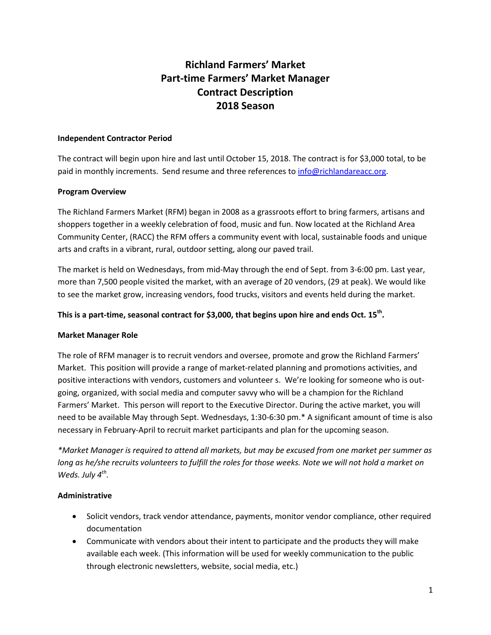# **Richland Farmers' Market Part-time Farmers' Market Manager Contract Description 2018 Season**

### **Independent Contractor Period**

The contract will begin upon hire and last until October 15, 2018. The contract is for \$3,000 total, to be paid in monthly increments. Send resume and three references to [info@richlandareacc.org.](mailto:info@richlandareacc.org)

## **Program Overview**

The Richland Farmers Market (RFM) began in 2008 as a grassroots effort to bring farmers, artisans and shoppers together in a weekly celebration of food, music and fun. Now located at the Richland Area Community Center, (RACC) the RFM offers a community event with local, sustainable foods and unique arts and crafts in a vibrant, rural, outdoor setting, along our paved trail.

The market is held on Wednesdays, from mid-May through the end of Sept. from 3-6:00 pm. Last year, more than 7,500 people visited the market, with an average of 20 vendors, (29 at peak). We would like to see the market grow, increasing vendors, food trucks, visitors and events held during the market.

## **This is a part-time, seasonal contract for \$3,000, that begins upon hire and ends Oct. 15th .**

## **Market Manager Role**

The role of RFM manager is to recruit vendors and oversee, promote and grow the Richland Farmers' Market. This position will provide a range of market-related planning and promotions activities, and positive interactions with vendors, customers and volunteer s. We're looking for someone who is outgoing, organized, with social media and computer savvy who will be a champion for the Richland Farmers' Market. This person will report to the Executive Director. During the active market, you will need to be available May through Sept. Wednesdays, 1:30-6:30 pm.\* A significant amount of time is also necessary in February-April to recruit market participants and plan for the upcoming season.

*\*Market Manager is required to attend all markets, but may be excused from one market per summer as long as he/she recruits volunteers to fulfill the roles for those weeks. Note we will not hold a market on Weds. July 4th .*

#### **Administrative**

- Solicit vendors, track vendor attendance, payments, monitor vendor compliance, other required documentation
- Communicate with vendors about their intent to participate and the products they will make available each week. (This information will be used for weekly communication to the public through electronic newsletters, website, social media, etc.)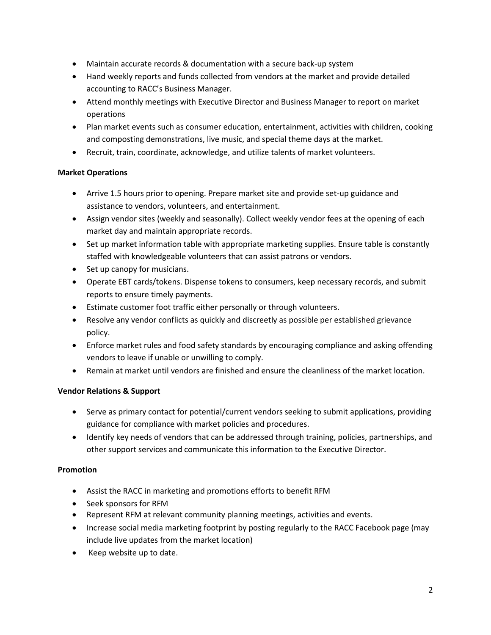- Maintain accurate records & documentation with a secure back-up system
- Hand weekly reports and funds collected from vendors at the market and provide detailed accounting to RACC's Business Manager.
- Attend monthly meetings with Executive Director and Business Manager to report on market operations
- Plan market events such as consumer education, entertainment, activities with children, cooking and composting demonstrations, live music, and special theme days at the market.
- Recruit, train, coordinate, acknowledge, and utilize talents of market volunteers.

## **Market Operations**

- Arrive 1.5 hours prior to opening. Prepare market site and provide set-up guidance and assistance to vendors, volunteers, and entertainment.
- Assign vendor sites (weekly and seasonally). Collect weekly vendor fees at the opening of each market day and maintain appropriate records.
- Set up market information table with appropriate marketing supplies. Ensure table is constantly staffed with knowledgeable volunteers that can assist patrons or vendors.
- Set up canopy for musicians.
- Operate EBT cards/tokens. Dispense tokens to consumers, keep necessary records, and submit reports to ensure timely payments.
- Estimate customer foot traffic either personally or through volunteers.
- Resolve any vendor conflicts as quickly and discreetly as possible per established grievance policy.
- Enforce market rules and food safety standards by encouraging compliance and asking offending vendors to leave if unable or unwilling to comply.
- Remain at market until vendors are finished and ensure the cleanliness of the market location.

# **Vendor Relations & Support**

- Serve as primary contact for potential/current vendors seeking to submit applications, providing guidance for compliance with market policies and procedures.
- Identify key needs of vendors that can be addressed through training, policies, partnerships, and other support services and communicate this information to the Executive Director.

## **Promotion**

- Assist the RACC in marketing and promotions efforts to benefit RFM
- Seek sponsors for RFM
- Represent RFM at relevant community planning meetings, activities and events.
- Increase social media marketing footprint by posting regularly to the RACC Facebook page (may include live updates from the market location)
- Keep website up to date.